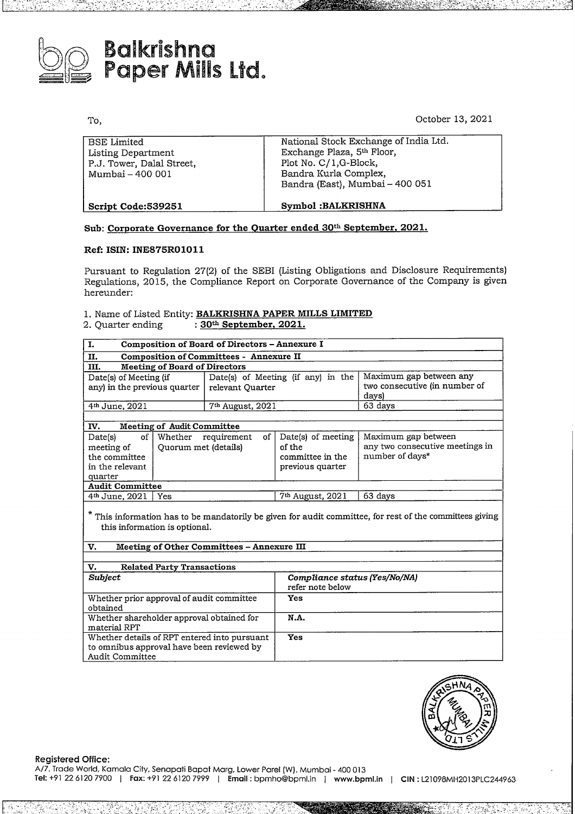

# **Balkrishna**<br>Banar <sup>Aatu</sup> Paper Mills Lid.

To,

October 13, 2021

| Symbol: BALKRISHNA                                                                                                                                       |  |
|----------------------------------------------------------------------------------------------------------------------------------------------------------|--|
| National Stock Exchange of India Ltd.<br>Exchange Plaza, 5th Floor,<br>Plot No. C/1,G-Block,<br>Bandra Kurla Complex,<br>Bandra (East), Mumbai - 400 051 |  |
|                                                                                                                                                          |  |

## **Sub: Corporate Governance for the Quarter ended 30th September, 2021.**

## **Ref: ISIN: INE875R01011**

Pursuant to Regulation 27(2) of the SEBI (Listing Obligations and Disclosure Requirements) Regulations, 2015, the Compliance Report on Corporate Governance of the Company is given hereunder:

## 1. Name of Listed Entity: **BALKRISHNA PAPER MILLS LIMITED** 2. Quarter ending : **30 September, 2021.**

| I.                                                                                                                |                                                        | Composition of Board of Directors – Annexure I |    |                                                                      |                                                                           |  |  |  |  |
|-------------------------------------------------------------------------------------------------------------------|--------------------------------------------------------|------------------------------------------------|----|----------------------------------------------------------------------|---------------------------------------------------------------------------|--|--|--|--|
| П.                                                                                                                | <b>Composition of Committees - Annexure II</b>         |                                                |    |                                                                      |                                                                           |  |  |  |  |
| III.                                                                                                              | <b>Meeting of Board of Directors</b>                   |                                                |    |                                                                      |                                                                           |  |  |  |  |
| Date(s) of Meeting (if<br>any) in the previous quarter                                                            | Date(s) of Meeting (if any) in the<br>relevant Ouarter |                                                |    | Maximum gap between any<br>two consecutive (in number of<br>days)    |                                                                           |  |  |  |  |
| 4 <sup>th</sup> June, 2021                                                                                        |                                                        | 7 <sup>th</sup> August, 2021                   |    |                                                                      | 63 days                                                                   |  |  |  |  |
|                                                                                                                   |                                                        |                                                |    |                                                                      |                                                                           |  |  |  |  |
| IV.                                                                                                               | <b>Meeting of Audit Committee</b>                      |                                                |    |                                                                      |                                                                           |  |  |  |  |
| of <sub>1</sub><br>Date(s)<br>meeting of<br>the committee<br>in the relevant<br>quarter<br><b>Audit Committee</b> | Whether requirement<br>Quorum met (details)            |                                                | οf | Date(s) of meeting<br>of the<br>committee in the<br>previous quarter | Maximum gap between<br>any two consecutive meetings in<br>number of days* |  |  |  |  |
|                                                                                                                   |                                                        |                                                |    |                                                                      |                                                                           |  |  |  |  |
| 4 <sup>th</sup> June, 2021                                                                                        | Yes                                                    |                                                |    | 7 <sup>th</sup> August, 2021                                         | 63 days                                                                   |  |  |  |  |
|                                                                                                                   |                                                        |                                                |    |                                                                      |                                                                           |  |  |  |  |

This information has to be mandatorily be given for audit committee, for rest of the committees giving this information is optional.

## **v. Meeting of Other Committees- Annexxure** III

| <b>Related Party Transactions</b><br>v.                                                                      |                                                   |  |
|--------------------------------------------------------------------------------------------------------------|---------------------------------------------------|--|
| <b>Subject</b>                                                                                               | Compliance status (Yes/No/NA)<br>refer note below |  |
| Whether prior approval of audit committee.<br>obtained                                                       | Yes                                               |  |
| Whether shareholder approval obtained for<br>material RPT                                                    | N.A.                                              |  |
| Whether details of RPT entered into pursuant<br>to omnibus approval have been reviewed by<br>Audit Committee | <b>Yes</b>                                        |  |

*+2.* &&%



**Registered Office:**

A/7. Trade World. Kamala City. Senapati Bapat Marg. Lower Parel **(W}.** Mumbai - <sup>400</sup> <sup>013</sup> **Tel:** +91226120 7900 <sup>I</sup> **Fax:** +91 <sup>22</sup> 6120 <sup>7999</sup> <sup>I</sup> **Email:** bpmho@bpml.in <sup>J</sup> **www.bpml.in** <sup>J</sup> **CIN:** L21098MH2013PLC244963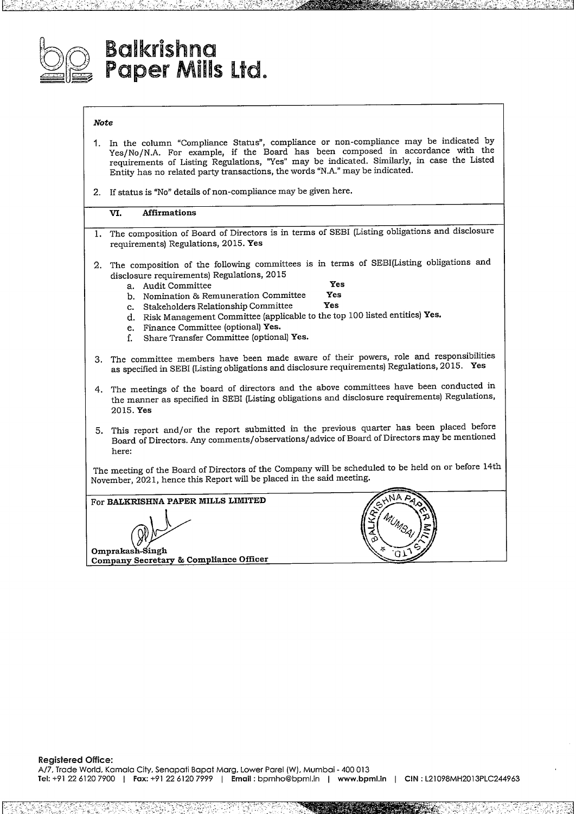

# **Ba!Krishna Paper Mills Ltd.**

## *Note*

- **1.** In the column "Compliance Status", compliance or non-compliance may be indicated by Yes/No/N.A. For example, if the Board has been composed in accordance with the requirements of Listing Regulations, "Yes" may be indicated. Similarly, in case the Listed Entity has no related party transactions, the words "N.A." may be indicated.
- 2. If status is "No" details of non-compliance may be given here.

### **VI. Affirmations**

- 1. The composition of Board of Directors is in terms of SEBI (Listing obligations and disclosure requirements) Regulations, 2015. **Yes**
- 2. The composition of the following committees is in terms of SEBI(Listing obligations and disclosure requirements) Regulations, 2015
	-

- a. Audit Committee **Yes** b. Nomination & Remuneration Committee **Yes**
- c. Stakeholders Relationship Committee
- d. Risk Management Committee (applicable to the top <sup>100</sup> listed entities) **Yes.**
- e. Finance Committee (optional) **Yes.**
- f. Share Transfer Committee (optional) **Yes.**
- 3. The committee members have been made aware of their powers, role and responsibilities as specified in SEBI (Listing obligations and disclosure requirements) Regulations, 2015. **Yes**
- 4. The meetings of the board of directors and the above committees have been conducted in the manner as specified in SEBI (Listing obligations and disclosure requirements) Regulations, 2015. **Yes**
- 5. This report and/or the report submitted in the previous quarter has been placed before Board of Directors. Any comments/ observations/ advice of Board of Directors may be mentioned here:

The meeting of the Board of Directors of the Company will be scheduled to be held on or before 14th

November, 2021, hence this Report will be placed in the said meeting.<br> **For BALKRISHNA PAPER MILLS LIMITED**<br> **Omprakash-Singh**<br> **Company Secretary & Compliance Officer** For **BALKRISHNA PAPER MILLS LIMITED O m pm kas Co m a n Secreta & Com liance Officer**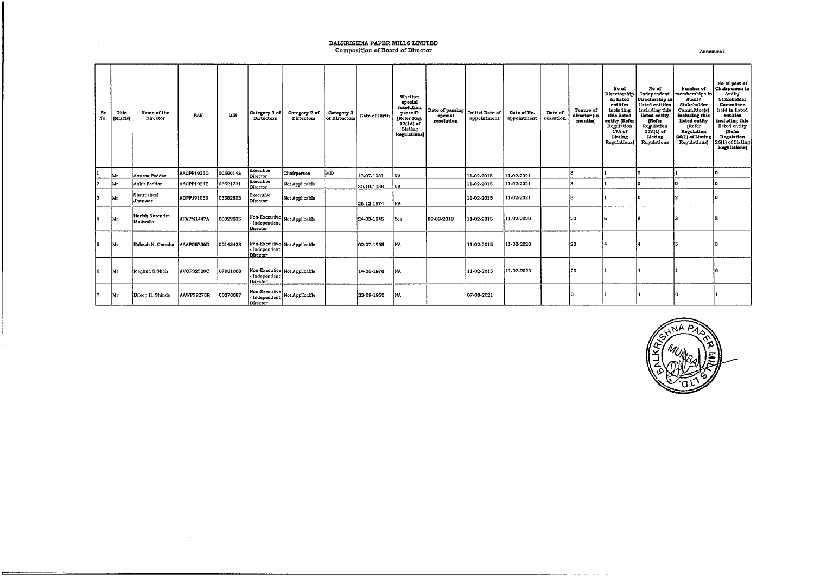## BALKRISHNA PAPER MILLS LIMITED<br>Composition of Board of Director Annexure I

÷

| Br<br>No. | Title<br>[Mr/Ms] | Name of the<br>Director       | PAN        | DIN      | Category 1 of<br>Dirtectors              | Category 2 of<br>Dirtectors  | Category 3<br>of Dirtectors | Date of Birth | Whether<br>special<br>resolution<br>passed?<br>Refer Reg.<br>17(1A) of<br>Listing<br>Regulations) | Date of passing<br>special<br>resolution | <b>Initial Date of</b><br>appointment | Date of Re-<br>appointment | Date of<br>cessation | Tenure of<br>director (in<br>months | No of<br>Directorship<br>in listed<br>entities<br>including<br>this listed<br>entity (Refer<br>Regulation<br>17A of<br>Listing<br>Regulations) | No of<br>Independent<br>Directorship in<br>listed entities<br>including this<br>listed entity<br>(Refer<br>Regulation<br>17A(1) of<br>Listing<br>Regulations | Number of<br>memberships in<br>Audit/<br>Stakeholder<br>Committee(s)<br>including this<br>listed entity<br>(Refer<br>Regulation<br>26(1) of Listing<br>Regulations) | No of post of<br>Chairperson in<br>Audit/<br>Stakeholder<br>Committee<br>held in listed<br>entities<br>including this<br>listed entity<br>(Refer<br>Regulation<br>26(1) of Listing<br>Regulations) |
|-----------|------------------|-------------------------------|------------|----------|------------------------------------------|------------------------------|-----------------------------|---------------|---------------------------------------------------------------------------------------------------|------------------------------------------|---------------------------------------|----------------------------|----------------------|-------------------------------------|------------------------------------------------------------------------------------------------------------------------------------------------|--------------------------------------------------------------------------------------------------------------------------------------------------------------|---------------------------------------------------------------------------------------------------------------------------------------------------------------------|----------------------------------------------------------------------------------------------------------------------------------------------------------------------------------------------------|
|           | Mr               | Anurag Poddar                 | AACPP1926G | 00599143 | Executive<br>Director                    | Chairperson                  | MD                          | 13-07-1981    | <b>INA</b>                                                                                        |                                          | 11-02-2015                            | 11-02-2021                 |                      |                                     |                                                                                                                                                | o                                                                                                                                                            |                                                                                                                                                                     |                                                                                                                                                                                                    |
| 2         | Mr               | Ankit Poddar                  | AACPP1924E | 03521731 | Executive<br>Director                    | Not Applicable               |                             | 30-10-1988    | INA.                                                                                              |                                          | 11-02-2015                            | 11-02-2021                 |                      |                                     |                                                                                                                                                | o                                                                                                                                                            | In                                                                                                                                                                  |                                                                                                                                                                                                    |
| 13.       | Mт               | Shrutisheel<br><b>Uhanwar</b> | ADPPJ9106N | 03582803 | Executive<br>Director                    | Not Applicable               |                             | 26-12-1974    | <b>NA</b>                                                                                         |                                          | 11-02-2015                            | 11-02-2021                 |                      |                                     |                                                                                                                                                | o                                                                                                                                                            | I۰                                                                                                                                                                  |                                                                                                                                                                                                    |
| ŀ4        | Mr               | Harish Narendra<br>Motiwalla  | AFAPM1447A | 00029835 | Independent<br>Director                  | Non-Executive Not Applicable |                             | 24-03-1945    | Yes                                                                                               | 09-09-2019                               | 11-02-2015                            | 11-02-2020                 |                      | 120                                 | l 6                                                                                                                                            | 6                                                                                                                                                            |                                                                                                                                                                     |                                                                                                                                                                                                    |
| 5         | Mr               | Rakesh N. Garodía             | AAAPG8736D | 00143438 | - Independent<br>Director                | Non-Executive Not Applicable |                             | 02-07-1965    | ina                                                                                               |                                          | 11-02-2015                            | 11-02-2020                 |                      | l 20                                | ١Δ                                                                                                                                             |                                                                                                                                                              |                                                                                                                                                                     |                                                                                                                                                                                                    |
| 6         | Ms               | Meghna S.Shah                 | AVOPS2520C | 07081068 | - Independent<br>Director                | Non-Executive Not Applicable |                             | 14-06-1978    | l NA                                                                                              |                                          | 11-02-2015                            | 11-02-2020                 |                      | 20                                  |                                                                                                                                                |                                                                                                                                                              |                                                                                                                                                                     |                                                                                                                                                                                                    |
| 7.        | Mr               | Dileep H. Shinde              | AAWPS9273R | 00270687 | Non-Executive<br>Independent<br>Director | Not Applicable               |                             | 23-09-1950    | <b>NA</b>                                                                                         |                                          | 07-08-2021                            |                            |                      |                                     |                                                                                                                                                |                                                                                                                                                              |                                                                                                                                                                     |                                                                                                                                                                                                    |

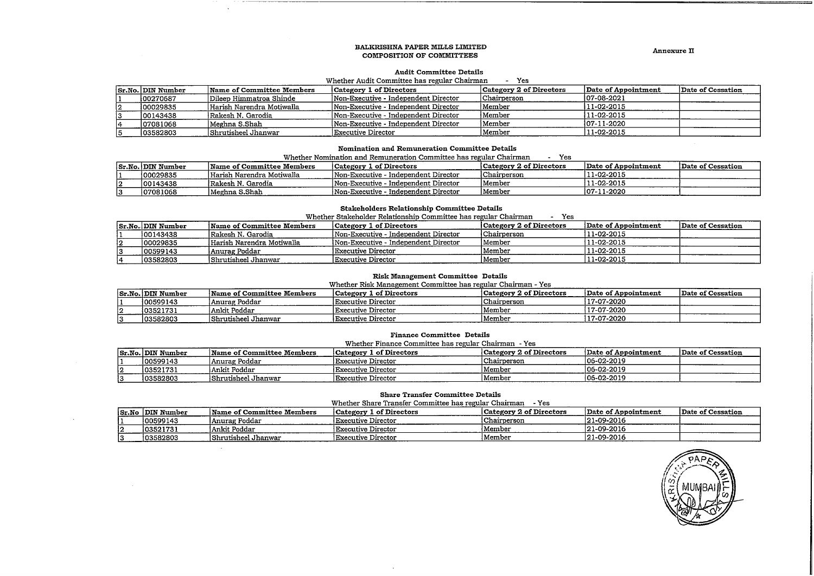#### BALKRISHNA PAPER MILLS LIMITED COMPOSITION OF COMMITTEES

Annexure II

#### **Audit Committee Details**

#### - Yes Whether Audit Committee has regular Chairman

| Sr.No. DIN Number | Name of Committee Members | Category 1 of Directors              | Category 2 of Directors | Date of Appointment | Date of Cessation |
|-------------------|---------------------------|--------------------------------------|-------------------------|---------------------|-------------------|
| 100270687         | Dileep Himmatroa Shinde   | Non-Executive - Independent Director | Chairperson             | $ 07 - 08 - 2021$   |                   |
| 100029835         | Harish Narendra Motiwalla | Non-Executive - Independent Director | 'Member                 | 11-02-2015          |                   |
| 00143438          | Rakesh N. Garodia         | Non-Executive - Independent Director | 'Member                 | 11-02-2015          |                   |
| 07081068          | Meghna S.Shah             | Non-Executive - Independent Director | Member                  | 107-11-2020         |                   |
| 03582803          | Shrutisheel Jhanwar       | Executive Director                   | Member                  | 11-02-2015          |                   |

#### Nomination and Remuneration Committee Details

Whether Nomination and Remuneration Committee has regular Chairman - Yes

|                   |                           |                                      | ---                     |                     |                   |
|-------------------|---------------------------|--------------------------------------|-------------------------|---------------------|-------------------|
| Sr.No. DIN Number | Name of Committee Members | Category 1 of Directors              | Category 2 of Directors | Date of Appointment | Date of Cessation |
| 100029835         | Harish Narendra Motiwalla | Won-Executive - Independent Director | Chairperson             | '11-02-2015         |                   |
| 100143438         | lRakesh N. Garodia        | Non-Executive - Independent Director | Member                  | 11-02-2015          |                   |
| 07081068          | Meghna S.Shah!            | Non-Executive - Independent Director | Member                  | 107-11-2020         |                   |

## **Stakeholders Relationship Committee Details**

|    | Whether Stakeholder Relationship Committee has regular Chairman<br>Yes |                           |                                      |                         |                     |                   |  |  |  |
|----|------------------------------------------------------------------------|---------------------------|--------------------------------------|-------------------------|---------------------|-------------------|--|--|--|
|    | Sr.No. DIN Number                                                      | Name of Committee Members | Category 1 of Directors              | Category 2 of Directors | Date of Appointment | Date of Cessation |  |  |  |
|    | 100143438                                                              | Rakesh N. Garodia         | Non-Executive - Independent Director | Chairperson             | 111-02-2015         |                   |  |  |  |
| 12 | 100029835                                                              | Harish Narendra Motiwalla | Non-Executive - Independent Director | Member                  | 111-02-2015         |                   |  |  |  |
|    | 100599143                                                              | Anurag Poddar             | Executive Director                   | Member                  | $11-02-2015$        |                   |  |  |  |
| 14 | 103582803                                                              | Shrutisheel Jhanwar       | Executive Director                   | Member                  | 111-02-2015         |                   |  |  |  |

#### **Risk Management Committee Details**

Whether Risk Management Committee has regular Chairman - Yes

|          | <b>Sr.No. DIN Number</b> | Wame of Committee Members | Category 1 of Directors   | Category 2 of Directors | Date of Appointment | Date of Cessation |
|----------|--------------------------|---------------------------|---------------------------|-------------------------|---------------------|-------------------|
|          | 100599143                | Anurag Poddar             | Executive Director        | Chairperson             | 17-07-2020          |                   |
| ı.<br>ı4 | 103521731                | Ankit Poddar              | <b>Executive Director</b> | Member                  | 17-07-2020          |                   |
|          | 103582803                | Shrutisheel Jhanwar       | <b>Executive Director</b> | Member                  | 117-07-2020         |                   |

#### **Finance Committee Details**

Whether Finance Committee has regular Chairman - Yes

| Sr.No. DIN Number | Name of Committee Members | Category 1 of Directors   | Category 2 of Directors | Date of Appointment | Date of Cessation |
|-------------------|---------------------------|---------------------------|-------------------------|---------------------|-------------------|
| 100599143         | Anurag Poddar             | <b>Executive Director</b> | Chairperson             | 106-02-2019         |                   |
| 103521731         | l Ankit Poddar            | 'Executive Director       | 'Member                 | 106-02-2019         |                   |
| 103582803         | İShrutisheel Jhanwar      | Executive Director        | Member                  | 106-02-2019         |                   |

#### **Share Transfer Committee Details**

Whether Share Transfer Committee has regular Chairman - Yes

| Sr.No DIN Number | Name of Committee Members | Category 1 of Directors   | Category 2 of Directors | Date of Appointment | Date of Cessation |
|------------------|---------------------------|---------------------------|-------------------------|---------------------|-------------------|
| 100599143        | Anurag Poddar             | <b>Executive Director</b> | 'Chairperson            | 121-09-2016         |                   |
| 103521731        | Ankit Poddar              | 'Executive Director       | Member                  | $121-09-2016$       |                   |
| 103582803        | lShrutisheel Jhanwar      | Executive Director        | Member                  | 121-09-2016         |                   |

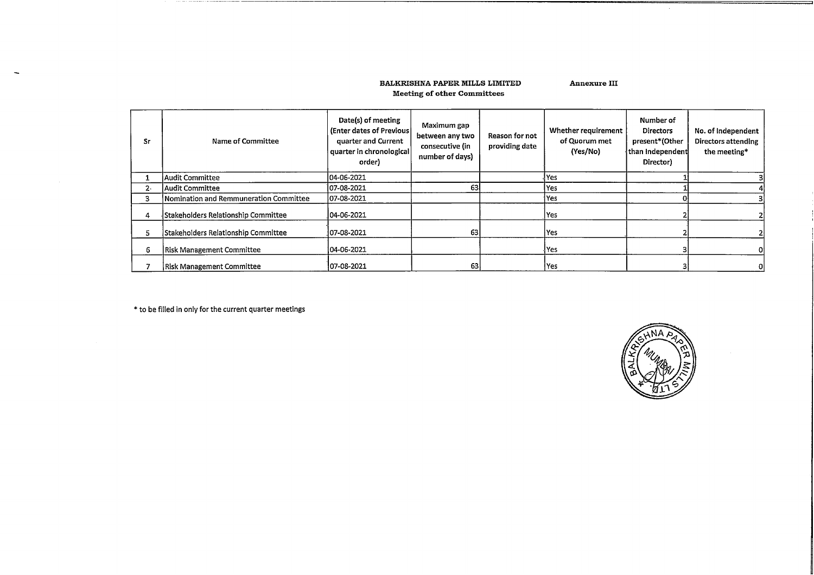### BALKRISHNA PAPER MILLS LIMITED Meeting of other Committees

Annexure III

| Sr    | Name of Committee                      | Date(s) of meeting<br>(Enter dates of Previous)<br>quarter and Current<br>quarter in chronological<br>order) | Maximum gap<br>between any two<br>consecutive (in<br>number of days) | Reason for not<br>providing date | Whether requirement<br>of Quorum met<br>(Yes/No) | Number of<br><b>Directors</b><br>present*(Other<br>than Independent<br>Director) | No. of Independent<br>Directors attending<br>the meeting* |
|-------|----------------------------------------|--------------------------------------------------------------------------------------------------------------|----------------------------------------------------------------------|----------------------------------|--------------------------------------------------|----------------------------------------------------------------------------------|-----------------------------------------------------------|
|       | Audit Committee                        | 04-06-2021                                                                                                   |                                                                      |                                  | l Yes                                            |                                                                                  |                                                           |
| $2 -$ | Audit Committee                        | 107-08-2021                                                                                                  | 63                                                                   |                                  | Yes                                              |                                                                                  |                                                           |
| з     | Nomination and Remmuneration Committee | 07-08-2021                                                                                                   |                                                                      |                                  | Yes                                              |                                                                                  |                                                           |
| 4     | Stakeholders Relationship Committee    | 04-06-2021                                                                                                   |                                                                      |                                  | Yes                                              |                                                                                  |                                                           |
| 5     | Stakeholders Relationship Committee    | 107-08-2021                                                                                                  | 63                                                                   |                                  | Yes                                              |                                                                                  |                                                           |
| 6     | <b>Risk Management Committee</b>       | 104-06-2021                                                                                                  |                                                                      |                                  | l Yes                                            |                                                                                  |                                                           |
|       | <b>Risk Management Committee</b>       | 107-08-2021                                                                                                  | 63                                                                   |                                  | Yes                                              |                                                                                  | 01                                                        |

\* to be filled in only for the current quarter meetings

The company of the company of the company of

 $\overline{\phantom{a}}$ 



 $\sim$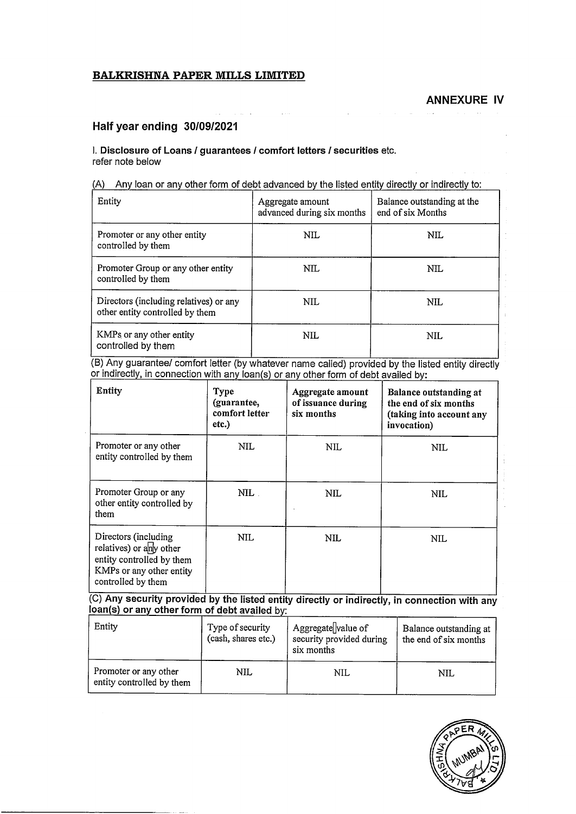## **BALKRISHNA PAPER MILLS LIMITED**

## **Half year ending 30/09/2021**

## I. **Disclosure of Loans** *<sup>I</sup>* **guarantees** *<sup>I</sup>* **comfort letters/ securities** etc. refer note below

 $\ddot{\phantom{a}}$ 

| (A) Any loan or any other form of debt advanced by the listed entity directly or indirectly to: |  |
|-------------------------------------------------------------------------------------------------|--|
|                                                                                                 |  |

| Entity                                                                    | Aggregate amount<br>advanced during six months | Balance outstanding at the<br>end of six Months |
|---------------------------------------------------------------------------|------------------------------------------------|-------------------------------------------------|
| Promoter or any other entity<br>controlled by them                        | NIL                                            | NIL.                                            |
| Promoter Group or any other entity<br>controlled by them                  | NIL.                                           | NIL.                                            |
| Directors (including relatives) or any<br>other entity controlled by them | NIL.                                           | NIL                                             |
| KMPs or any other entity<br>controlled by them                            | NIL                                            | NIL.                                            |

(B) Any guarantee/ comfort letter (by whatever name called) provided by the listed entity directly or indirectly, in connection with any loan(s) or any other form of debt availed by:

| Entity                                                                                                                         | Type<br>(guarantee,<br>comfort letter<br>etc.) | Aggregate amount<br>of issuance during<br>six months | Balance outstanding at<br>the end of six months<br>(taking into account any<br>invocation) |
|--------------------------------------------------------------------------------------------------------------------------------|------------------------------------------------|------------------------------------------------------|--------------------------------------------------------------------------------------------|
| Promoter or any other<br>entity controlled by them                                                                             | NIL                                            | NIL                                                  | NIL                                                                                        |
| Promoter Group or any<br>other entity controlled by<br>them                                                                    | NIL                                            | NIL                                                  | NIL                                                                                        |
| Directors (including<br>relatives) or any other<br>entity controlled by them<br>KMPs or any other entity<br>controlled by them | NIL.                                           | NIL                                                  | NIL                                                                                        |

(C) **Any security provided by the listed entity directly or indirectly, in connection with any I**conduct *or any* other form of debt availed by:<br>**Ioan(s)** or any other form of debt availed by:

| Entity                                             | Type of security<br>(cash, shares etc.) | Aggregate value of<br>security provided during<br>six months | Balance outstanding at<br>the end of six months |
|----------------------------------------------------|-----------------------------------------|--------------------------------------------------------------|-------------------------------------------------|
| Promoter or any other<br>entity controlled by them | <b>NIL</b>                              | NIL                                                          | NIL                                             |